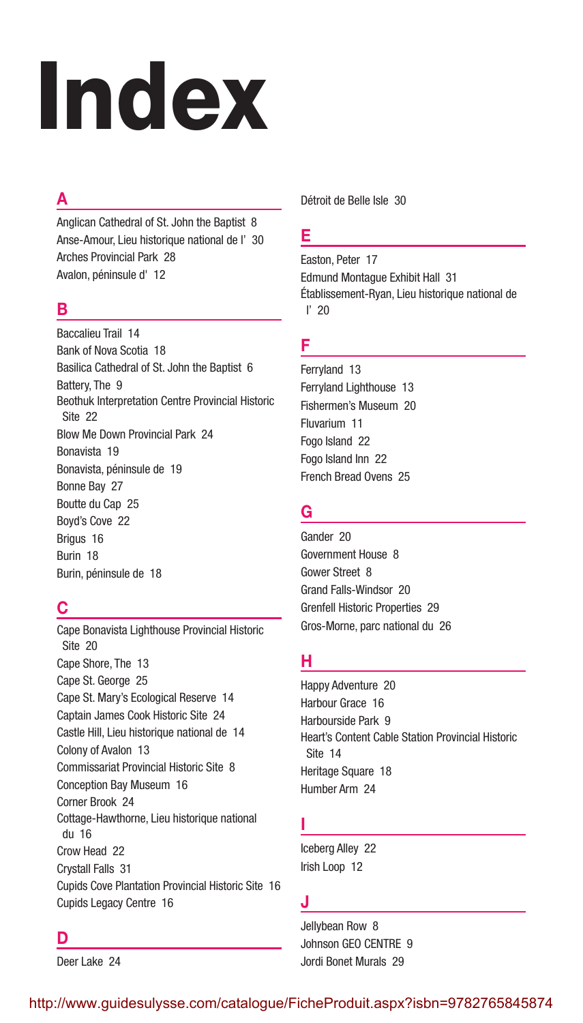# Index

# A

Anglican Cathedral of St. John the Baptist 8 Anse-Amour, Lieu historique national de l' 30 Arches Provincial Park 28 Avalon, péninsule d' 12

### B

Baccalieu Trail 14 Bank of Nova Scotia 18 Basilica Cathedral of St. John the Baptist 6 Battery, The 9 Beothuk Interpretation Centre Provincial Historic Site 22 Blow Me Down Provincial Park 24 Bonavista 19 Bonavista, péninsule de 19 Bonne Bay 27 Boutte du Cap 25 Boyd's Cove 22 Brigus 16 Burin 18 Burin, péninsule de 18

# C

Cape Bonavista Lighthouse Provincial Historic Site 20 Cape Shore, The 13 Cape St. George 25 Cape St. Mary's Ecological Reserve 14 Captain James Cook Historic Site 24 Castle Hill, Lieu historique national de 14 Colony of Avalon 13 Commissariat Provincial Historic Site 8 Conception Bay Museum 16 Corner Brook 24 Cottage-Hawthorne, Lieu historique national du 16 Crow Head 22 Crystall Falls 31 Cupids Cove Plantation Provincial Historic Site 16 Cupids Legacy Centre 16

Détroit de Belle Isle 30

## E

Easton, Peter 17 Edmund Montague Exhibit Hall 31 Établissement-Ryan, Lieu historique national de l' 20

# F

Ferryland 13 Ferryland Lighthouse 13 Fishermen's Museum 20 Fluvarium 11 Fogo Island 22 Fogo Island Inn 22 French Bread Ovens 25

## G

Gander 20 Government House 8 Gower Street 8 Grand Falls-Windsor 20 Grenfell Historic Properties 29 Gros-Morne, parc national du 26

# H

Happy Adventure 20 Harbour Grace 16 Harbourside Park 9 Heart's Content Cable Station Provincial Historic Site 14 Heritage Square 18 Humber Arm 24

## I

Iceberg Alley 22 Irish Loop 12

## J

Jellybean Row 8 Johnson GEO CENTRE 9 Jordi Bonet Murals 29

# D

Deer Lake 24

http://www.guidesulysse.com/catalogue/FicheProduit.aspx?isbn=9782765845874